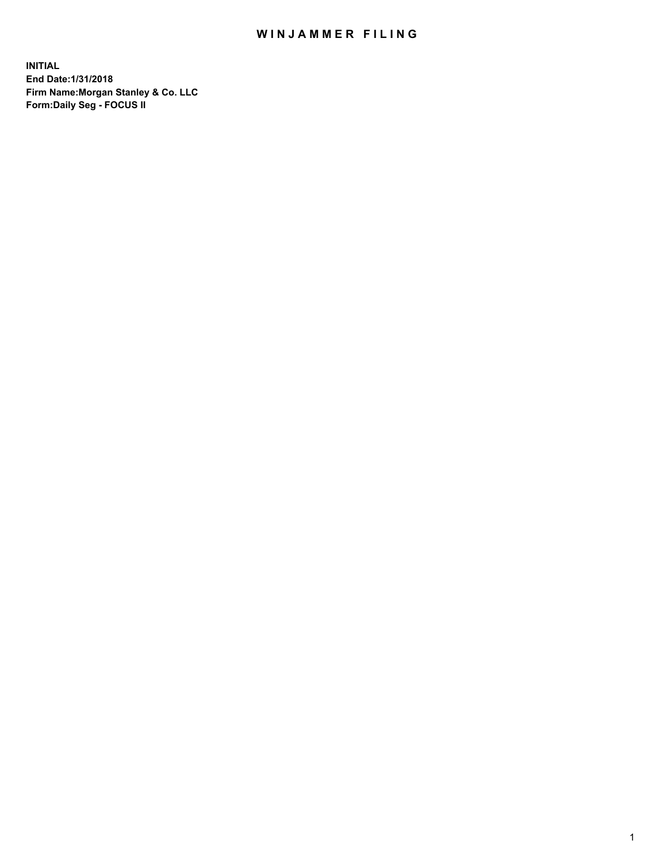## WIN JAMMER FILING

**INITIAL End Date:1/31/2018 Firm Name:Morgan Stanley & Co. LLC Form:Daily Seg - FOCUS II**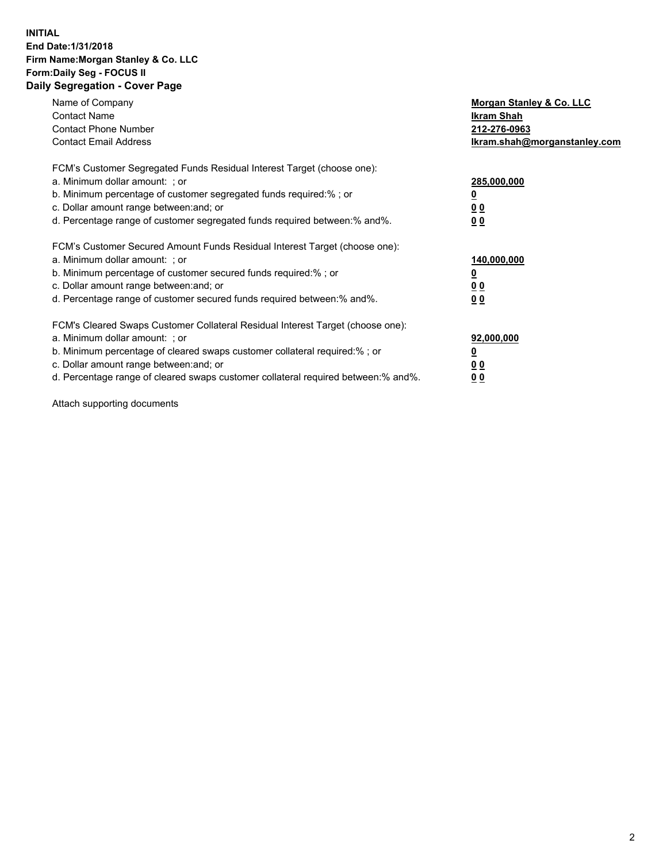### **INITIAL End Date:1/31/2018 Firm Name:Morgan Stanley & Co. LLC Form:Daily Seg - FOCUS II Daily Segregation - Cover Page**

| Name of Company                                                                   | Morgan Stanley & Co. LLC     |
|-----------------------------------------------------------------------------------|------------------------------|
| <b>Contact Name</b>                                                               | Ikram Shah                   |
| <b>Contact Phone Number</b>                                                       | 212-276-0963                 |
| <b>Contact Email Address</b>                                                      | lkram.shah@morganstanley.com |
| FCM's Customer Segregated Funds Residual Interest Target (choose one):            |                              |
| a. Minimum dollar amount: ; or                                                    | 285,000,000                  |
| b. Minimum percentage of customer segregated funds required:%; or                 |                              |
| c. Dollar amount range between: and; or                                           | 00                           |
| d. Percentage range of customer segregated funds required between: % and %.       | 0 <sub>0</sub>               |
| FCM's Customer Secured Amount Funds Residual Interest Target (choose one):        |                              |
| a. Minimum dollar amount: ; or                                                    | 140,000,000                  |
| b. Minimum percentage of customer secured funds required:%; or                    |                              |
| c. Dollar amount range between: and; or                                           | 00                           |
| d. Percentage range of customer secured funds required between: % and %.          | 0 <sub>0</sub>               |
| FCM's Cleared Swaps Customer Collateral Residual Interest Target (choose one):    |                              |
| a. Minimum dollar amount: ; or                                                    | 92,000,000                   |
| b. Minimum percentage of cleared swaps customer collateral required:% ; or        | <u>0</u>                     |
| c. Dollar amount range between: and; or                                           | <u>00</u>                    |
| d. Percentage range of cleared swaps customer collateral required between:% and%. | 00                           |
|                                                                                   |                              |

Attach supporting documents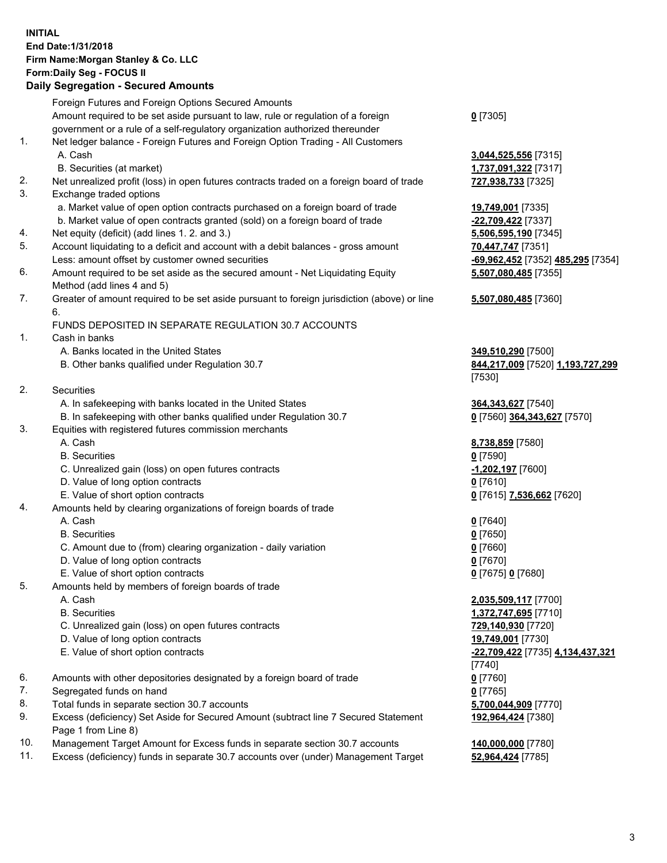## **INITIAL End Date:1/31/2018 Firm Name:Morgan Stanley & Co. LLC Form:Daily Seg - FOCUS II**

# **Daily Segregation - Secured Amounts**

|    | Daily Segregation - Secured Amounts                                                         |                                   |
|----|---------------------------------------------------------------------------------------------|-----------------------------------|
|    | Foreign Futures and Foreign Options Secured Amounts                                         |                                   |
|    | Amount required to be set aside pursuant to law, rule or regulation of a foreign            | $0$ [7305]                        |
|    | government or a rule of a self-regulatory organization authorized thereunder                |                                   |
| 1. | Net ledger balance - Foreign Futures and Foreign Option Trading - All Customers             |                                   |
|    | A. Cash                                                                                     | 3,044,525,556 [7315]              |
|    | B. Securities (at market)                                                                   | 1,737,091,322 [7317]              |
| 2. | Net unrealized profit (loss) in open futures contracts traded on a foreign board of trade   | 727,938,733 [7325]                |
| 3. | Exchange traded options                                                                     |                                   |
|    | a. Market value of open option contracts purchased on a foreign board of trade              | 19,749,001 [7335]                 |
|    | b. Market value of open contracts granted (sold) on a foreign board of trade                | -22,709,422 [7337]                |
| 4. | Net equity (deficit) (add lines 1. 2. and 3.)                                               | 5,506,595,190 [7345]              |
| 5. | Account liquidating to a deficit and account with a debit balances - gross amount           | 70,447,747 [7351]                 |
|    | Less: amount offset by customer owned securities                                            | -69,962,452 [7352] 485,295 [7354] |
| 6. | Amount required to be set aside as the secured amount - Net Liquidating Equity              | 5,507,080,485 [7355]              |
|    | Method (add lines 4 and 5)                                                                  |                                   |
| 7. | Greater of amount required to be set aside pursuant to foreign jurisdiction (above) or line | 5,507,080,485 [7360]              |
|    | 6.                                                                                          |                                   |
|    | FUNDS DEPOSITED IN SEPARATE REGULATION 30.7 ACCOUNTS                                        |                                   |
| 1. | Cash in banks                                                                               |                                   |
|    | A. Banks located in the United States                                                       | 349,510,290 [7500]                |
|    | B. Other banks qualified under Regulation 30.7                                              | 844,217,009 [7520] 1,193,727,299  |
|    |                                                                                             | [7530]                            |
| 2. | Securities                                                                                  |                                   |
|    | A. In safekeeping with banks located in the United States                                   | 364, 343, 627 [7540]              |
|    | B. In safekeeping with other banks qualified under Regulation 30.7                          | 0 [7560] 364,343,627 [7570]       |
| 3. | Equities with registered futures commission merchants                                       |                                   |
|    | A. Cash                                                                                     | 8,738,859 [7580]                  |
|    | <b>B.</b> Securities                                                                        | $0$ [7590]                        |
|    | C. Unrealized gain (loss) on open futures contracts                                         | -1,202,197 [7600]                 |
|    | D. Value of long option contracts                                                           | $0$ [7610]                        |
|    | E. Value of short option contracts                                                          | 0 [7615] 7,536,662 [7620]         |
| 4. | Amounts held by clearing organizations of foreign boards of trade                           |                                   |
|    | A. Cash                                                                                     | $0$ [7640]                        |
|    | <b>B.</b> Securities                                                                        | $0$ [7650]                        |
|    | C. Amount due to (from) clearing organization - daily variation                             | $0$ [7660]                        |
|    | D. Value of long option contracts                                                           | $0$ [7670]                        |
|    | E. Value of short option contracts                                                          | 0 [7675] 0 [7680]                 |
| 5. | Amounts held by members of foreign boards of trade                                          |                                   |
|    | A. Cash                                                                                     | 2,035,509,117 [7700]              |
|    | <b>B.</b> Securities                                                                        | 1,372,747,695 [7710]              |
|    | C. Unrealized gain (loss) on open futures contracts                                         | 729,140,930 [7720]                |
|    | D. Value of long option contracts                                                           | 19,749,001 [7730]                 |
|    | E. Value of short option contracts                                                          | -22,709,422 [7735] 4,134,437,321  |
|    |                                                                                             | [7740]                            |
| 6. | Amounts with other depositories designated by a foreign board of trade                      | $0$ [7760]                        |
| 7. | Segregated funds on hand                                                                    | $0$ [7765]                        |
| 8. | Total funds in separate section 30.7 accounts                                               | 5,700,044,909 [7770]              |
| 9. | Excess (deficiency) Set Aside for Secured Amount (subtract line 7 Secured Statement         | 192,964,424 [7380]                |
|    | Page 1 from Line 8)                                                                         |                                   |

- 10. Management Target Amount for Excess funds in separate section 30.7 accounts **140,000,000** [7780]
- 11. Excess (deficiency) funds in separate 30.7 accounts over (under) Management Target **52,964,424** [7785]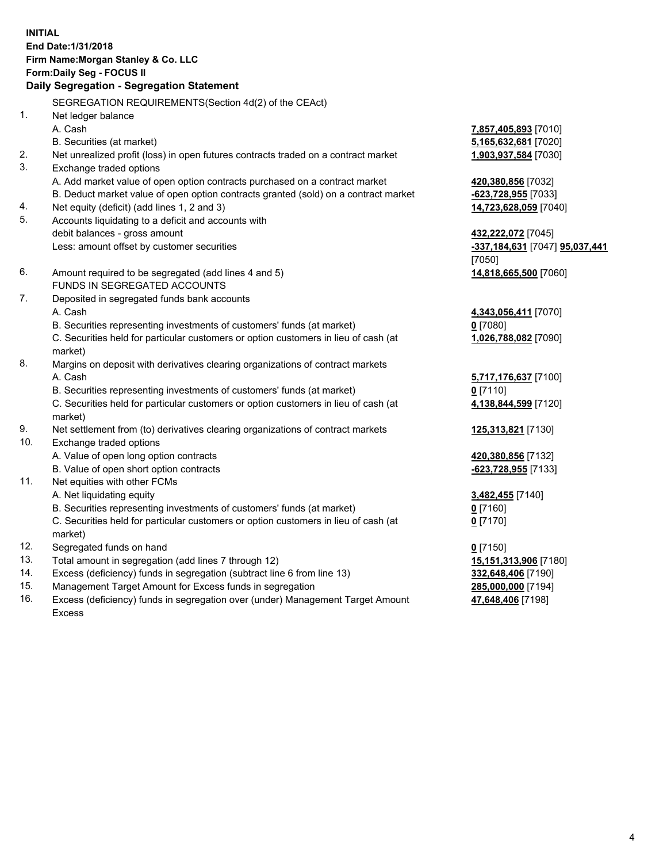## **INITIAL End Date:1/31/2018 Firm Name:Morgan Stanley & Co. LLC Form:Daily Seg - FOCUS II**

## **Daily Segregation - Segregation Statement**

SEGREGATION REQUIREMENTS(Section 4d(2) of the CEAct) 1. Net ledger balance A. Cash **7,857,405,893** [7010] B. Securities (at market) **5,165,632,681** [7020] 2. Net unrealized profit (loss) in open futures contracts traded on a contract market **1,903,937,584** [7030] 3. Exchange traded options A. Add market value of open option contracts purchased on a contract market **420,380,856** [7032] B. Deduct market value of open option contracts granted (sold) on a contract market **-623,728,955** [7033] 4. Net equity (deficit) (add lines 1, 2 and 3) **14,723,628,059** [7040] 5. Accounts liquidating to a deficit and accounts with debit balances - gross amount **432,222,072** [7045] Less: amount offset by customer securities **-337,184,631** [7047] **95,037,441** [7050] 6. Amount required to be segregated (add lines 4 and 5) **14,818,665,500** [7060] FUNDS IN SEGREGATED ACCOUNTS 7. Deposited in segregated funds bank accounts A. Cash **4,343,056,411** [7070] B. Securities representing investments of customers' funds (at market) **0** [7080] C. Securities held for particular customers or option customers in lieu of cash (at market) **1,026,788,082** [7090] 8. Margins on deposit with derivatives clearing organizations of contract markets A. Cash **5,717,176,637** [7100] B. Securities representing investments of customers' funds (at market) **0** [7110] C. Securities held for particular customers or option customers in lieu of cash (at market) **4,138,844,599** [7120] 9. Net settlement from (to) derivatives clearing organizations of contract markets **125,313,821** [7130] 10. Exchange traded options A. Value of open long option contracts **420,380,856** [7132] B. Value of open short option contracts **-623,728,955** [7133] 11. Net equities with other FCMs A. Net liquidating equity **3,482,455** [7140] B. Securities representing investments of customers' funds (at market) **0** [7160] C. Securities held for particular customers or option customers in lieu of cash (at market) **0** [7170] 12. Segregated funds on hand **0** [7150] 13. Total amount in segregation (add lines 7 through 12) **15,151,313,906** [7180] 14. Excess (deficiency) funds in segregation (subtract line 6 from line 13) **332,648,406** [7190] 15. Management Target Amount for Excess funds in segregation **285,000,000** [7194]

16. Excess (deficiency) funds in segregation over (under) Management Target Amount Excess

**47,648,406** [7198]